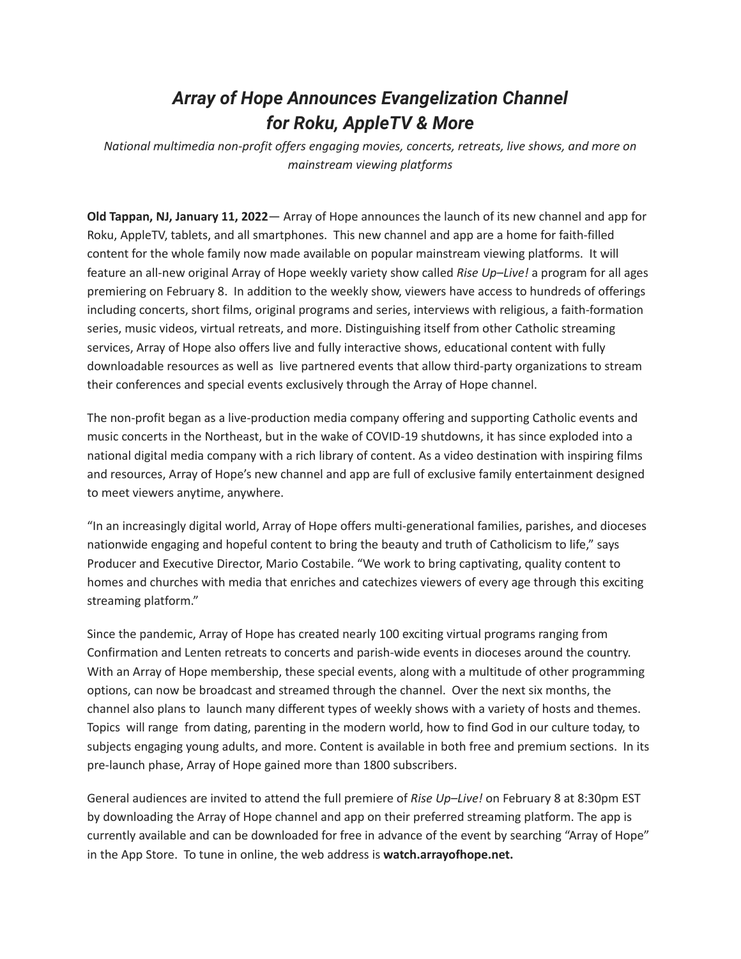## *Array of Hope Announces Evangelization Channel for Roku, AppleTV & More*

*National multimedia non-profit offers engaging movies, concerts, retreats, live shows, and more on mainstream viewing platforms*

**Old Tappan, NJ, January 11, 2022**— Array of Hope announces the launch of its new channel and app for Roku, AppleTV, tablets, and all smartphones. This new channel and app are a home for faith-filled content for the whole family now made available on popular mainstream viewing platforms. It will feature an all-new original Array of Hope weekly variety show called *Rise Up–Live!* a program for all ages premiering on February 8. In addition to the weekly show, viewers have access to hundreds of offerings including concerts, short films, original programs and series, interviews with religious, a faith-formation series, music videos, virtual retreats, and more. Distinguishing itself from other Catholic streaming services, Array of Hope also offers live and fully interactive shows, educational content with fully downloadable resources as well as live partnered events that allow third-party organizations to stream their conferences and special events exclusively through the Array of Hope channel.

The non-profit began as a live-production media company offering and supporting Catholic events and music concerts in the Northeast, but in the wake of COVID-19 shutdowns, it has since exploded into a national digital media company with a rich library of content. As a video destination with inspiring films and resources, Array of Hope's new channel and app are full of exclusive family entertainment designed to meet viewers anytime, anywhere.

"In an increasingly digital world, Array of Hope offers multi-generational families, parishes, and dioceses nationwide engaging and hopeful content to bring the beauty and truth of Catholicism to life," says Producer and Executive Director, Mario Costabile. "We work to bring captivating, quality content to homes and churches with media that enriches and catechizes viewers of every age through this exciting streaming platform."

Since the pandemic, Array of Hope has created nearly 100 exciting virtual programs ranging from Confirmation and Lenten retreats to concerts and parish-wide events in dioceses around the country. With an Array of Hope membership, these special events, along with a multitude of other programming options, can now be broadcast and streamed through the channel. Over the next six months, the channel also plans to launch many different types of weekly shows with a variety of hosts and themes. Topics will range from dating, parenting in the modern world, how to find God in our culture today, to subjects engaging young adults, and more. Content is available in both free and premium sections. In its pre-launch phase, Array of Hope gained more than 1800 subscribers.

General audiences are invited to attend the full premiere of *Rise Up–Live!* on February 8 at 8:30pm EST by downloading the Array of Hope channel and app on their preferred streaming platform. The app is currently available and can be downloaded for free in advance of the event by searching "Array of Hope" in the App Store. To tune in online, the web address is **watch.arrayofhope.net.**